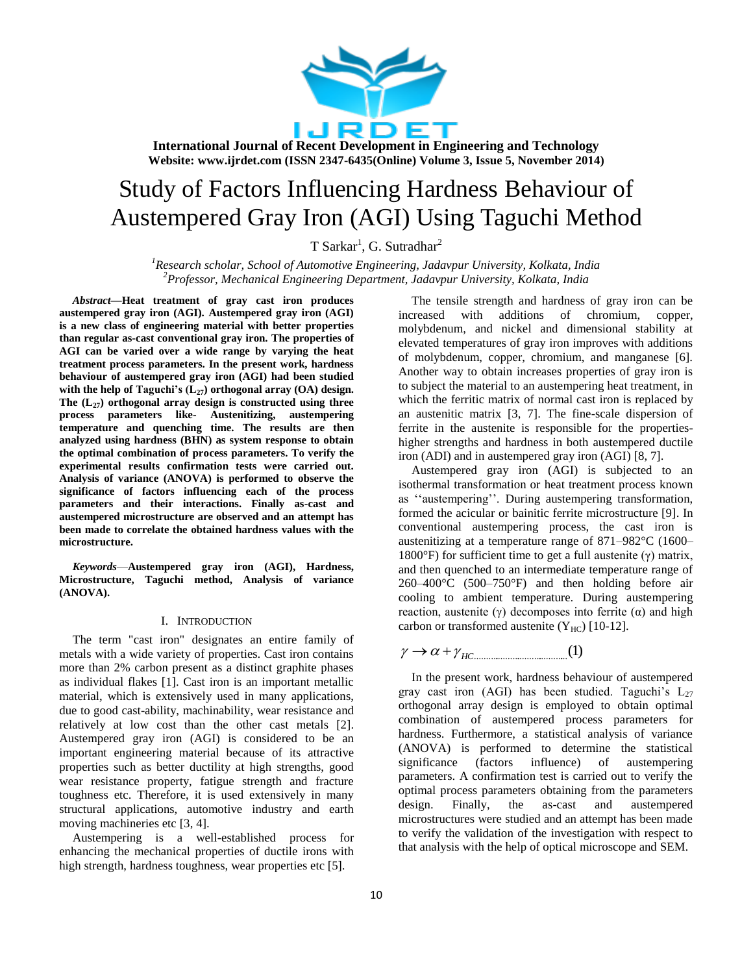

# Study of Factors Influencing Hardness Behaviour of Austempered Gray Iron (AGI) Using Taguchi Method

T Sarkar<sup>1</sup>, G. Sutradhar<sup>2</sup>

*<sup>1</sup>Research scholar, School of Automotive Engineering, Jadavpur University, Kolkata, India <sup>2</sup>Professor, Mechanical Engineering Department, Jadavpur University, Kolkata, India*

*Abstract***—Heat treatment of gray cast iron produces austempered gray iron (AGI). Austempered gray iron (AGI) is a new class of engineering material with better properties than regular as-cast conventional gray iron. The properties of AGI can be varied over a wide range by varying the heat treatment process parameters. In the present work, hardness behaviour of austempered gray iron (AGI) had been studied with the help of Taguchi's (L27) orthogonal array (OA) design. The (L27) orthogonal array design is constructed using three process parameters like- Austenitizing, austempering temperature and quenching time. The results are then analyzed using hardness (BHN) as system response to obtain the optimal combination of process parameters. To verify the experimental results confirmation tests were carried out. Analysis of variance (ANOVA) is performed to observe the significance of factors influencing each of the process parameters and their interactions. Finally as-cast and austempered microstructure are observed and an attempt has been made to correlate the obtained hardness values with the microstructure.**

*Keywords*—**Austempered gray iron (AGI), Hardness, Microstructure, Taguchi method, Analysis of variance (ANOVA).**

#### I. INTRODUCTION

The term "cast iron" designates an entire family of metals with a wide variety of properties. Cast iron contains more than 2% carbon present as a distinct graphite phases as individual flakes [1]. Cast iron is an important metallic material, which is extensively used in many applications, due to good cast-ability, machinability, wear resistance and relatively at low cost than the other cast metals [2]. Austempered gray iron (AGI) is considered to be an important engineering material because of its attractive properties such as better ductility at high strengths, good wear resistance property, fatigue strength and fracture toughness etc. Therefore, it is used extensively in many structural applications, automotive industry and earth moving machineries etc [3, 4].

Austempering is a well-established process for enhancing the mechanical properties of ductile irons with high strength, hardness toughness, wear properties etc [5].

The tensile strength and hardness of gray iron can be increased with additions of chromium, copper, molybdenum, and nickel and dimensional stability at elevated temperatures of gray iron improves with additions of molybdenum, copper, chromium, and manganese [6]. Another way to obtain increases properties of gray iron is to subject the material to an austempering heat treatment, in which the ferritic matrix of normal cast iron is replaced by an austenitic matrix [3, 7]. The fine-scale dispersion of ferrite in the austenite is responsible for the propertieshigher strengths and hardness in both austempered ductile iron (ADI) and in austempered gray iron (AGI) [8, 7].

Austempered gray iron (AGI) is subjected to an isothermal transformation or heat treatment process known as "austempering". During austempering transformation, formed the acicular or bainitic ferrite microstructure [9]. In conventional austempering process, the cast iron is austenitizing at a temperature range of 871–982°C (1600– 1800°F) for sufficient time to get a full austenite  $(\gamma)$  matrix, and then quenched to an intermediate temperature range of 260–400°C (500–750°F) and then holding before air cooling to ambient temperature. During austempering reaction, austenite (γ) decomposes into ferrite ( $α$ ) and high carbon or transformed austenite  $(Y_{HC})$  [10-12].

 $\gamma \rightarrow \alpha + \gamma_{HC...}$  (1)

In the present work, hardness behaviour of austempered gray cast iron (AGI) has been studied. Taguchi's  $L_{27}$ orthogonal array design is employed to obtain optimal combination of austempered process parameters for hardness. Furthermore, a statistical analysis of variance (ANOVA) is performed to determine the statistical significance (factors influence) of austempering parameters. A confirmation test is carried out to verify the optimal process parameters obtaining from the parameters design. Finally, the as-cast and austempered microstructures were studied and an attempt has been made to verify the validation of the investigation with respect to that analysis with the help of optical microscope and SEM.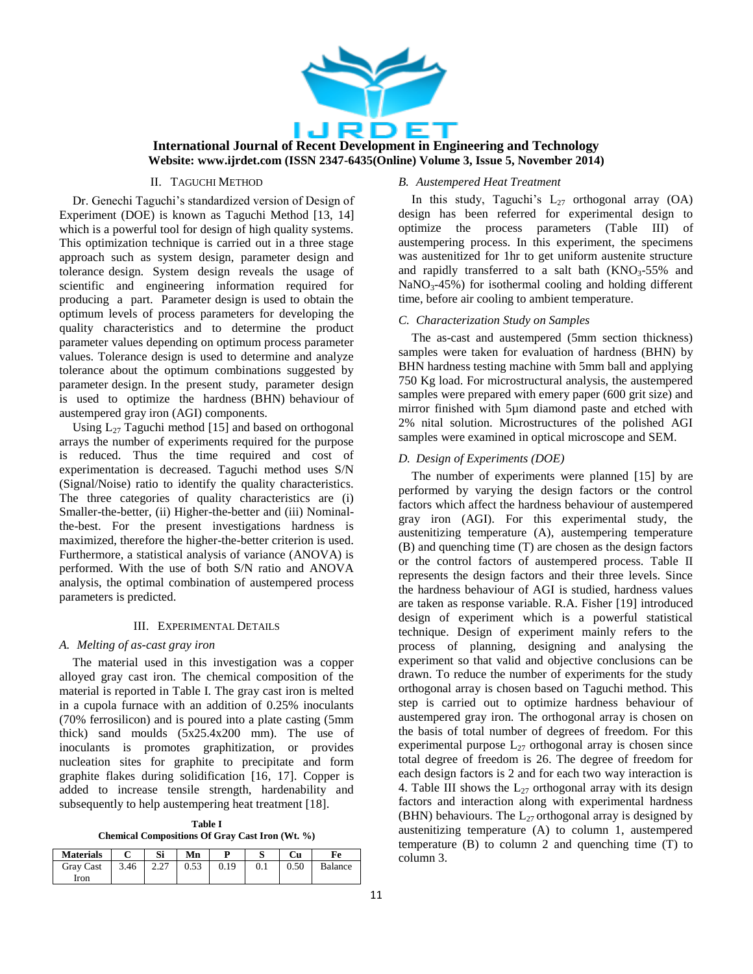

# II. TAGUCHI METHOD

Dr. Genechi Taguchi's standardized version of Design of Experiment (DOE) is known as Taguchi Method [13, 14] which is a powerful tool for design of high quality systems. This optimization technique is carried out in a three stage approach such as system design, parameter design and tolerance design. System design reveals the usage of scientific and engineering information required for producing a part. Parameter design is used to obtain the optimum levels of process parameters for developing the quality characteristics and to determine the product parameter values depending on optimum process parameter values. Tolerance design is used to determine and analyze tolerance about the optimum combinations suggested by parameter design. In the present study, parameter design is used to optimize the hardness (BHN) behaviour of austempered gray iron (AGI) components.

Using  $L_{27}$  Taguchi method [15] and based on orthogonal arrays the number of experiments required for the purpose is reduced. Thus the time required and cost of experimentation is decreased. Taguchi method uses S/N (Signal/Noise) ratio to identify the quality characteristics. The three categories of quality characteristics are (i) Smaller-the-better, (ii) Higher-the-better and (iii) Nominalthe-best. For the present investigations hardness is maximized, therefore the higher-the-better criterion is used. Furthermore, a statistical analysis of variance (ANOVA) is performed. With the use of both S/N ratio and ANOVA analysis, the optimal combination of austempered process parameters is predicted.

# III. EXPERIMENTAL DETAILS

#### *A. Melting of as-cast gray iron*

The material used in this investigation was a copper alloyed gray cast iron. The chemical composition of the material is reported in Table I. The gray cast iron is melted in a cupola furnace with an addition of 0.25% inoculants (70% ferrosilicon) and is poured into a plate casting (5mm thick) sand moulds (5x25.4x200 mm). The use of inoculants is promotes graphitization, or provides nucleation sites for graphite to precipitate and form graphite flakes during solidification [16, 17]. Copper is added to increase tensile strength, hardenability and subsequently to help austempering heat treatment [18].

**Table I Chemical Compositions Of Gray Cast Iron (Wt. %)**

| <b>Materials</b>         |      | Si   | Mn   |      |     | Cu   | Fe             |
|--------------------------|------|------|------|------|-----|------|----------------|
| <b>Grav Cast</b><br>Iron | 3.46 | 2.27 | 0.53 | 0.19 | 0.1 | 0.50 | <b>Balance</b> |

## *B. Austempered Heat Treatment*

In this study, Taguchi's  $L_{27}$  orthogonal array (OA) design has been referred for experimental design to optimize the process parameters (Table III) of austempering process. In this experiment, the specimens was austenitized for 1hr to get uniform austenite structure and rapidly transferred to a salt bath  $(KNO<sub>3</sub>-55%)$  and  $NaNO<sub>3</sub>-45%$ ) for isothermal cooling and holding different time, before air cooling to ambient temperature.

## *C. Characterization Study on Samples*

The as-cast and austempered (5mm section thickness) samples were taken for evaluation of hardness (BHN) by BHN hardness testing machine with 5mm ball and applying 750 Kg load. For microstructural analysis, the austempered samples were prepared with emery paper (600 grit size) and mirror finished with 5µm diamond paste and etched with 2% nital solution. Microstructures of the polished AGI samples were examined in optical microscope and SEM.

## *D. Design of Experiments (DOE)*

The number of experiments were planned [15] by are performed by varying the design factors or the control factors which affect the hardness behaviour of austempered gray iron (AGI). For this experimental study, the austenitizing temperature (A), austempering temperature (B) and quenching time (T) are chosen as the design factors or the control factors of austempered process. Table II represents the design factors and their three levels. Since the hardness behaviour of AGI is studied, hardness values are taken as response variable. R.A. Fisher [19] introduced design of experiment which is a powerful statistical technique. Design of experiment mainly refers to the process of planning, designing and analysing the experiment so that valid and objective conclusions can be drawn. To reduce the number of experiments for the study orthogonal array is chosen based on Taguchi method. This step is carried out to optimize hardness behaviour of austempered gray iron. The orthogonal array is chosen on the basis of total number of degrees of freedom. For this experimental purpose  $L_{27}$  orthogonal array is chosen since total degree of freedom is 26. The degree of freedom for each design factors is 2 and for each two way interaction is 4. Table III shows the  $L_{27}$  orthogonal array with its design factors and interaction along with experimental hardness (BHN) behaviours. The  $L_{27}$  orthogonal array is designed by austenitizing temperature (A) to column 1, austempered temperature (B) to column 2 and quenching time (T) to column 3.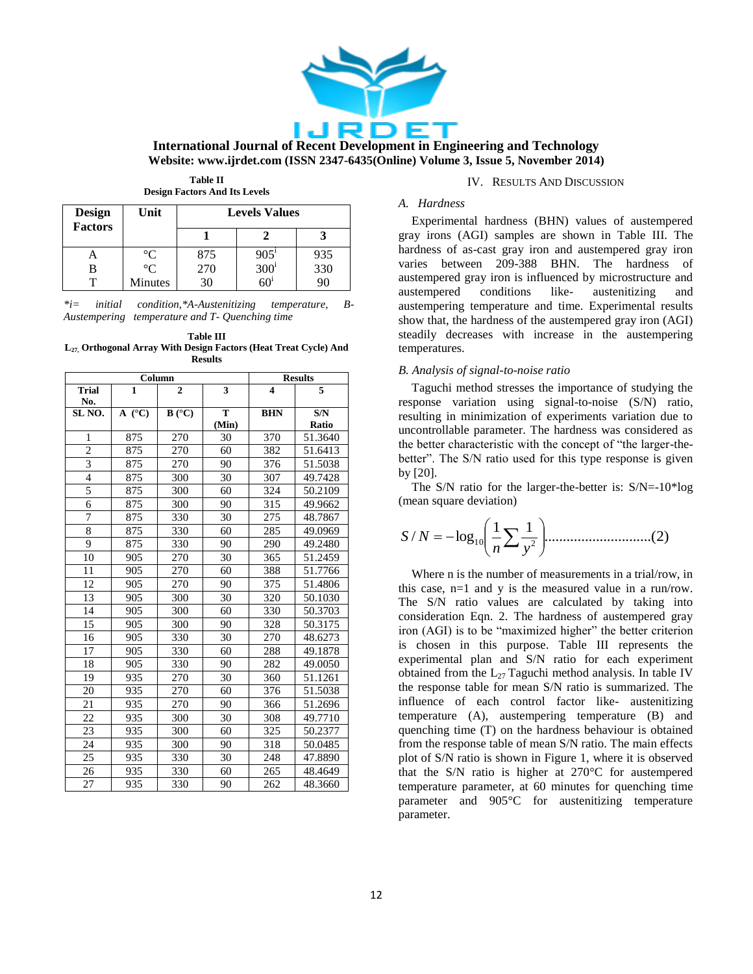

**Table II Design Factors And Its Levels**

| <b>Design</b><br>Factors | Unit           | <b>Levels Values</b> |               |     |
|--------------------------|----------------|----------------------|---------------|-----|
|                          |                |                      |               |     |
| A                        | $^{\circ}C$    | 875                  | $905^1$       | 935 |
| В                        | $^{\circ}C$    | 270                  | $300^{\rm i}$ | 330 |
|                          | <b>Minutes</b> | 30                   |               |     |

*\*i= initial condition,\*A-Austenitizing temperature, B-Austempering temperature and T- Quenching time*

**Table III L27, Orthogonal Array With Design Factors (Heat Treat Cycle) And Results** 

|                         | Column         | <b>Results</b> |       |            |         |
|-------------------------|----------------|----------------|-------|------------|---------|
| <b>Trial</b>            | 1              | $\overline{2}$ | 3     | 4          | 5       |
| No.                     |                |                |       |            |         |
| SL NO.                  | $A(^{\circ}C)$ | $B(^{\circ}C)$ | T     | <b>BHN</b> | S/N     |
|                         |                |                | (Min) |            | Ratio   |
| 1                       | 875            | 270            | 30    | 370        | 51.3640 |
| $\overline{2}$          | 875            | 270            | 60    | 382        | 51.6413 |
| $\overline{\mathbf{3}}$ | 875            | 270            | 90    | 376        | 51.5038 |
| $\overline{4}$          | 875            | 300            | 30    | 307        | 49.7428 |
| 5                       | 875            | 300            | 60    | 324        | 50.2109 |
| 6                       | 875            | 300            | 90    | 315        | 49.9662 |
| 7                       | 875            | 330            | 30    | 275        | 48.7867 |
| $\overline{8}$          | 875            | 330            | 60    | 285        | 49.0969 |
| 9                       | 875            | 330            | 90    | 290        | 49.2480 |
| 10                      | 905            | 270            | 30    | 365        | 51.2459 |
| 11                      | 905            | 270            | 60    | 388        | 51.7766 |
| 12                      | 905            | 270            | 90    | 375        | 51.4806 |
| 13                      | 905            | 300            | 30    | 320        | 50.1030 |
| 14                      | 905            | 300            | 60    | 330        | 50.3703 |
| 15                      | 905            | 300            | 90    | 328        | 50.3175 |
| 16                      | 905            | 330            | 30    | 270        | 48.6273 |
| 17                      | 905            | 330            | 60    | 288        | 49.1878 |
| 18                      | 905            | 330            | 90    | 282        | 49.0050 |
| 19                      | 935            | 270            | 30    | 360        | 51.1261 |
| 20                      | 935            | 270            | 60    | 376        | 51.5038 |
| 21                      | 935            | 270            | 90    | 366        | 51.2696 |
| 22                      | 935            | 300            | 30    | 308        | 49.7710 |
| 23                      | 935            | 300            | 60    | 325        | 50.2377 |
| 24                      | 935            | 300            | 90    | 318        | 50.0485 |
| 25                      | 935            | 330            | 30    | 248        | 47.8890 |
| 26                      | 935            | 330            | 60    | 265        | 48.4649 |
| 27                      | 935            | 330            | 90    | 262        | 48.3660 |

# IV. RESULTS AND DISCUSSION

# *A. Hardness*

Experimental hardness (BHN) values of austempered gray irons (AGI) samples are shown in Table III. The hardness of as-cast gray iron and austempered gray iron varies between 209-388 BHN. The hardness of austempered gray iron is influenced by microstructure and austempered conditions like- austenitizing and austempering temperature and time. Experimental results show that, the hardness of the austempered gray iron (AGI) steadily decreases with increase in the austempering temperatures.

#### *B. Analysis of signal-to-noise ratio*

Taguchi method stresses the importance of studying the response variation using signal-to-noise (S/N) ratio, resulting in minimization of experiments variation due to uncontrollable parameter. The hardness was considered as the better characteristic with the concept of "the larger-thebetter". The S/N ratio used for this type response is given by [20].

The S/N ratio for the larger-the-better is: S/N=-10\*log (mean square deviation)

$$
S/N = -\log_{10}\left(\frac{1}{n}\sum_{y} \frac{1}{y^{2}}\right) \dots \dots \dots \dots \dots \dots \dots \dots \dots \dots \dots (2)
$$

Where n is the number of measurements in a trial/row, in this case, n=1 and y is the measured value in a run/row. The S/N ratio values are calculated by taking into consideration Eqn. 2. The hardness of austempered gray iron (AGI) is to be "maximized higher" the better criterion is chosen in this purpose. Table III represents the experimental plan and S/N ratio for each experiment obtained from the  $L_{27}$  Taguchi method analysis. In table IV the response table for mean S/N ratio is summarized. The influence of each control factor like- austenitizing temperature (A), austempering temperature (B) and quenching time (T) on the hardness behaviour is obtained from the response table of mean S/N ratio. The main effects plot of S/N ratio is shown in Figure 1, where it is observed that the S/N ratio is higher at 270°C for austempered temperature parameter, at 60 minutes for quenching time parameter and 905°C for austenitizing temperature parameter.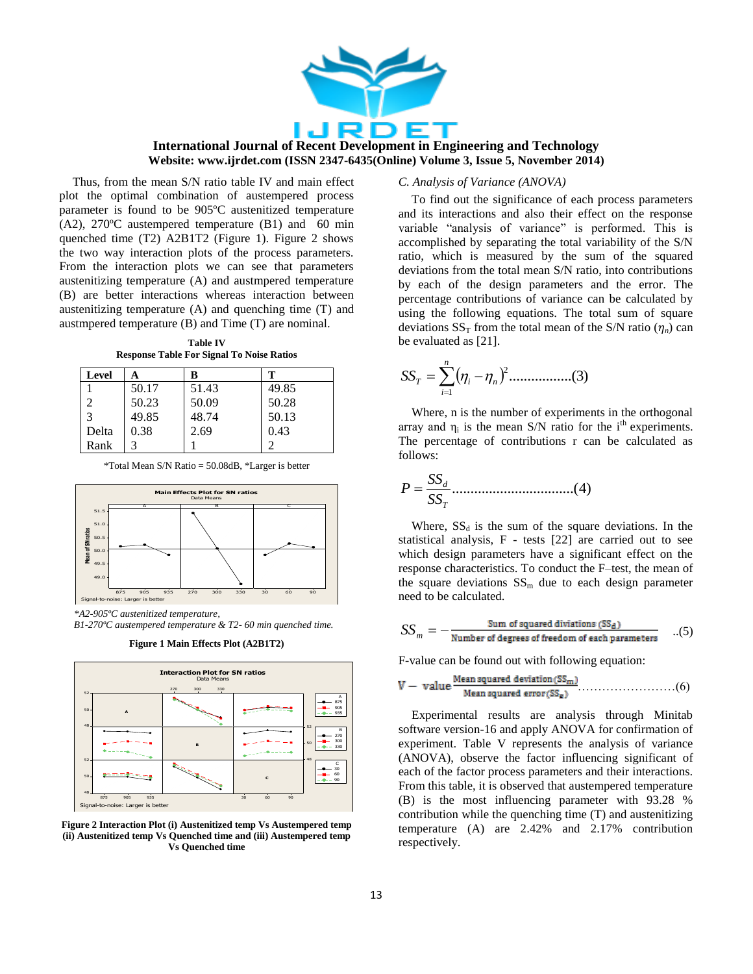

Thus, from the mean S/N ratio table IV and main effect plot the optimal combination of austempered process parameter is found to be 905ºC austenitized temperature (A2), 270ºC austempered temperature (B1) and 60 min quenched time (T2) A2B1T2 (Figure 1). Figure 2 shows the two way interaction plots of the process parameters. From the interaction plots we can see that parameters austenitizing temperature (A) and austmpered temperature (B) are better interactions whereas interaction between austenitizing temperature (A) and quenching time (T) and austmpered temperature (B) and Time (T) are nominal.

**Table IV Response Table For Signal To Noise Ratios**

| Level         | A     | B     | т     |
|---------------|-------|-------|-------|
|               | 50.17 | 51.43 | 49.85 |
|               | 50.23 | 50.09 | 50.28 |
| $\mathcal{R}$ | 49.85 | 48.74 | 50.13 |
| Delta         | 0.38  | 2.69  | 0.43  |
| Rank          |       |       |       |

\*Total Mean S/N Ratio = 50.08dB, \*Larger is better



 *\*A2-905ºC austenitized temperature, B1-270ºC austempered temperature & T2- 60 min quenched time.*

**Figure 1 Main Effects Plot (A2B1T2)**



**Figure 2 Interaction Plot (i) Austenitized temp Vs Austempered temp (ii) Austenitized temp Vs Quenched time and (iii) Austempered temp Vs Quenched time**

## *C. Analysis of Variance (ANOVA)*

To find out the significance of each process parameters and its interactions and also their effect on the response variable "analysis of variance" is performed. This is accomplished by separating the total variability of the S/N ratio, which is measured by the sum of the squared deviations from the total mean S/N ratio, into contributions by each of the design parameters and the error. The percentage contributions of variance can be calculated by using the following equations. The total sum of square deviations  $SS_T$  from the total mean of the S/N ratio  $(\eta_n)$  can be evaluated as [21].

$$
SS_T = \sum_{i=1}^{n} (\eta_i - \eta_n)^2 \dots (3)
$$

Where, n is the number of experiments in the orthogonal array and  $\eta_i$  is the mean S/N ratio for the i<sup>th</sup> experiments. The percentage of contributions r can be calculated as follows:

.................................(4) *T d SS SS <sup>P</sup>*

Where,  $SS_d$  is the sum of the square deviations. In the statistical analysis, F - tests [22] are carried out to see which design parameters have a significant effect on the response characteristics. To conduct the F–test, the mean of the square deviations  $SS_m$  due to each design parameter need to be calculated.

$$
SS_m = -\frac{\text{Sum of squared divisions (SS}_d)}{\text{Number of degrees of freedom of each parameters}} \quad ...(5)
$$

F-value can be found out with following equation:

……………………(6)

Experimental results are analysis through Minitab software version-16 and apply ANOVA for confirmation of experiment. Table V represents the analysis of variance (ANOVA), observe the factor influencing significant of each of the factor process parameters and their interactions. From this table, it is observed that austempered temperature (B) is the most influencing parameter with 93.28 % contribution while the quenching time (T) and austenitizing temperature (A) are 2.42% and 2.17% contribution respectively.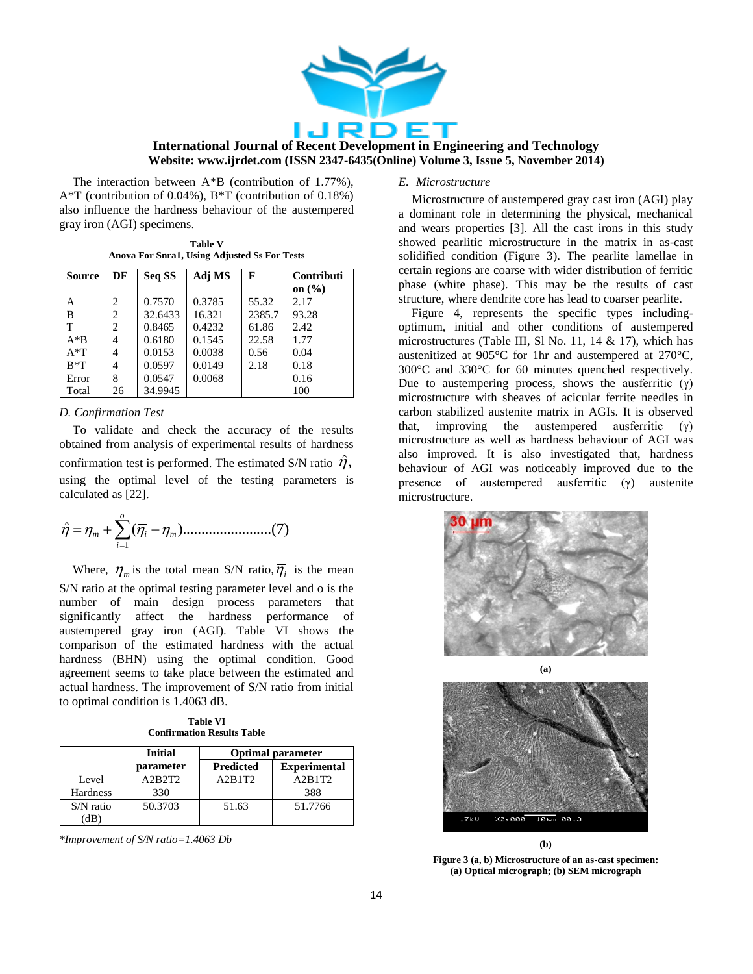

The interaction between A\*B (contribution of 1.77%), A\*T (contribution of 0.04%), B\*T (contribution of 0.18%) also influence the hardness behaviour of the austempered gray iron (AGI) specimens.

**Table V Anova For Snra1, Using Adjusted Ss For Tests**

| <b>Source</b> | DF             | Seq SS  | Adj MS | $\mathbf{F}$ | Contributi |
|---------------|----------------|---------|--------|--------------|------------|
|               |                |         |        |              | on $(\% )$ |
| A             | 2              | 0.7570  | 0.3785 | 55.32        | 2.17       |
| В             | 2              | 32.6433 | 16.321 | 2385.7       | 93.28      |
| т             | $\overline{c}$ | 0.8465  | 0.4232 | 61.86        | 2.42       |
| $A * B$       | 4              | 0.6180  | 0.1545 | 22.58        | 1.77       |
| $A^*T$        | 4              | 0.0153  | 0.0038 | 0.56         | 0.04       |
| $R^*T$        | 4              | 0.0597  | 0.0149 | 2.18         | 0.18       |
| Error         | 8              | 0.0547  | 0.0068 |              | 0.16       |
| Total         | 26             | 34.9945 |        |              | 100        |

## *D. Confirmation Test*

To validate and check the accuracy of the results obtained from analysis of experimental results of hardness confirmation test is performed. The estimated S/N ratio  $\hat{\eta}$ , using the optimal level of the testing parameters is calculated as [22].

ˆ ( )........................(7) 1 *o i m i m*

Where,  $\eta_m$  is the total mean S/N ratio,  $\overline{\eta}_i$  is the mean S/N ratio at the optimal testing parameter level and o is the number of main design process parameters that significantly affect the hardness performance of austempered gray iron (AGI). Table VI shows the comparison of the estimated hardness with the actual hardness (BHN) using the optimal condition. Good agreement seems to take place between the estimated and actual hardness. The improvement of S/N ratio from initial to optimal condition is 1.4063 dB.

|                                   | <b>Table VI</b> |  |
|-----------------------------------|-----------------|--|
| <b>Confirmation Results Table</b> |                 |  |

|             | <b>Initial</b> | <b>Optimal parameter</b> |                     |  |
|-------------|----------------|--------------------------|---------------------|--|
|             | parameter      | <b>Predicted</b>         | <b>Experimental</b> |  |
| Level       | A2B2T2         | A2B1T2                   | A2B1T2              |  |
| Hardness    | 330            |                          | 388                 |  |
| $S/N$ ratio | 50.3703        | 51.63                    | 51.7766             |  |
| dВ          |                |                          |                     |  |

*\*Improvement of S/N ratio=1.4063 Db*

# *E. Microstructure*

Microstructure of austempered gray cast iron (AGI) play a dominant role in determining the physical, mechanical and wears properties [3]. All the cast irons in this study showed pearlitic microstructure in the matrix in as-cast solidified condition (Figure 3). The pearlite lamellae in certain regions are coarse with wider distribution of ferritic phase (white phase). This may be the results of cast structure, where dendrite core has lead to coarser pearlite.

Figure 4, represents the specific types includingoptimum, initial and other conditions of austempered microstructures (Table III, Sl No. 11, 14  $&$  17), which has austenitized at 905°C for 1hr and austempered at 270°C, 300°C and 330°C for 60 minutes quenched respectively. Due to austempering process, shows the ausferritic  $(γ)$ microstructure with sheaves of acicular ferrite needles in carbon stabilized austenite matrix in AGIs. It is observed that, improving the austempered ausferritic (γ) microstructure as well as hardness behaviour of AGI was also improved. It is also investigated that, hardness behaviour of AGI was noticeably improved due to the presence of austempered ausferritic (γ) austenite microstructure.





**Figure 3 (a, b) Microstructure of an as-cast specimen: (a) Optical micrograph; (b) SEM micrograph**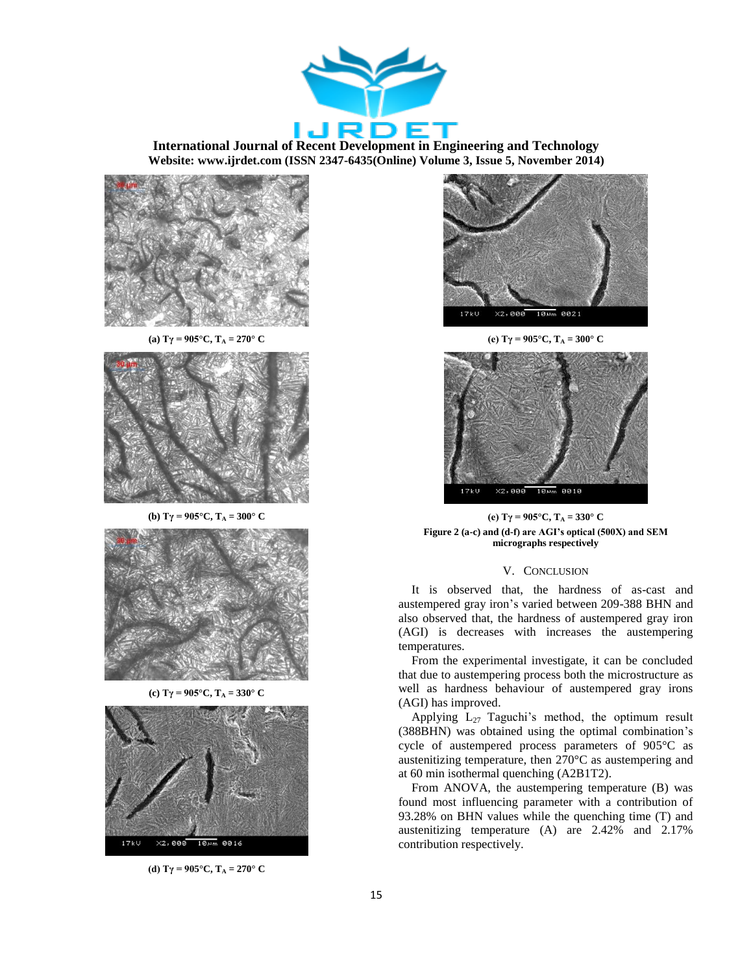



**(a) Tγ = 905°C, T<sup>A</sup> = 270° C** 



**(b) Tγ = 905°C, T<sup>A</sup> = 300° C** 



**(c) Tγ = 905°C, T<sup>A</sup> = 330° C** 



**(d) Tγ = 905°C, T<sup>A</sup> = 270° C** 





**(e) Tγ = 905°C, T<sup>A</sup> = 330° C Figure 2 (a-c) and (d-f) are AGI's optical (500X) and SEM micrographs respectively**

#### V. CONCLUSION

It is observed that, the hardness of as-cast and austempered gray iron's varied between 209-388 BHN and also observed that, the hardness of austempered gray iron (AGI) is decreases with increases the austempering temperatures.

From the experimental investigate, it can be concluded that due to austempering process both the microstructure as well as hardness behaviour of austempered gray irons (AGI) has improved.

Applying  $L_{27}$  Taguchi's method, the optimum result (388BHN) was obtained using the optimal combination's cycle of austempered process parameters of 905°C as austenitizing temperature, then 270°C as austempering and at 60 min isothermal quenching (A2B1T2).

From ANOVA, the austempering temperature (B) was found most influencing parameter with a contribution of 93.28% on BHN values while the quenching time (T) and austenitizing temperature (A) are 2.42% and 2.17% contribution respectively.